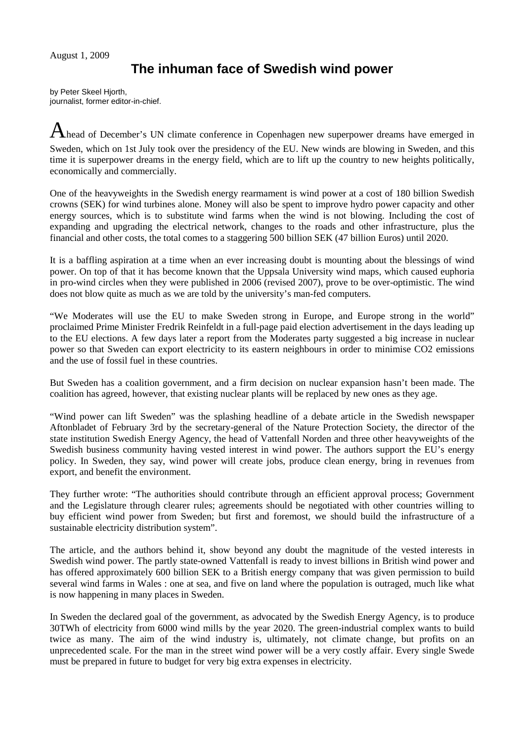## **The inhuman face of Swedish wind power**

by Peter Skeel Hjorth, journalist, former editor-in-chief.

Ahead of December's UN climate conference in Copenhagen new superpower dreams have emerged in Sweden, which on 1st July took over the presidency of the EU. New winds are blowing in Sweden, and this time it is superpower dreams in the energy field, which are to lift up the country to new heights politically, economically and commercially.

One of the heavyweights in the Swedish energy rearmament is wind power at a cost of 180 billion Swedish crowns (SEK) for wind turbines alone. Money will also be spent to improve hydro power capacity and other energy sources, which is to substitute wind farms when the wind is not blowing. Including the cost of expanding and upgrading the electrical network, changes to the roads and other infrastructure, plus the financial and other costs, the total comes to a staggering 500 billion SEK (47 billion Euros) until 2020.

It is a baffling aspiration at a time when an ever increasing doubt is mounting about the blessings of wind power. On top of that it has become known that the Uppsala University wind maps, which caused euphoria in pro-wind circles when they were published in 2006 (revised 2007), prove to be over-optimistic. The wind does not blow quite as much as we are told by the university's man-fed computers.

"We Moderates will use the EU to make Sweden strong in Europe, and Europe strong in the world" proclaimed Prime Minister Fredrik Reinfeldt in a full-page paid election advertisement in the days leading up to the EU elections. A few days later a report from the Moderates party suggested a big increase in nuclear power so that Sweden can export electricity to its eastern neighbours in order to minimise CO2 emissions and the use of fossil fuel in these countries.

But Sweden has a coalition government, and a firm decision on nuclear expansion hasn't been made. The coalition has agreed, however, that existing nuclear plants will be replaced by new ones as they age.

"Wind power can lift Sweden" was the splashing headline of a debate article in the Swedish newspaper Aftonbladet of February 3rd by the secretary-general of the Nature Protection Society, the director of the state institution Swedish Energy Agency, the head of Vattenfall Norden and three other heavyweights of the Swedish business community having vested interest in wind power. The authors support the EU's energy policy. In Sweden, they say, wind power will create jobs, produce clean energy, bring in revenues from export, and benefit the environment.

They further wrote: "The authorities should contribute through an efficient approval process; Government and the Legislature through clearer rules; agreements should be negotiated with other countries willing to buy efficient wind power from Sweden; but first and foremost, we should build the infrastructure of a sustainable electricity distribution system".

The article, and the authors behind it, show beyond any doubt the magnitude of the vested interests in Swedish wind power. The partly state-owned Vattenfall is ready to invest billions in British wind power and has offered approximately 600 billion SEK to a British energy company that was given permission to build several wind farms in Wales : one at sea, and five on land where the population is outraged, much like what is now happening in many places in Sweden.

In Sweden the declared goal of the government, as advocated by the Swedish Energy Agency, is to produce 30TWh of electricity from 6000 wind mills by the year 2020. The green-industrial complex wants to build twice as many. The aim of the wind industry is, ultimately, not climate change, but profits on an unprecedented scale. For the man in the street wind power will be a very costly affair. Every single Swede must be prepared in future to budget for very big extra expenses in electricity.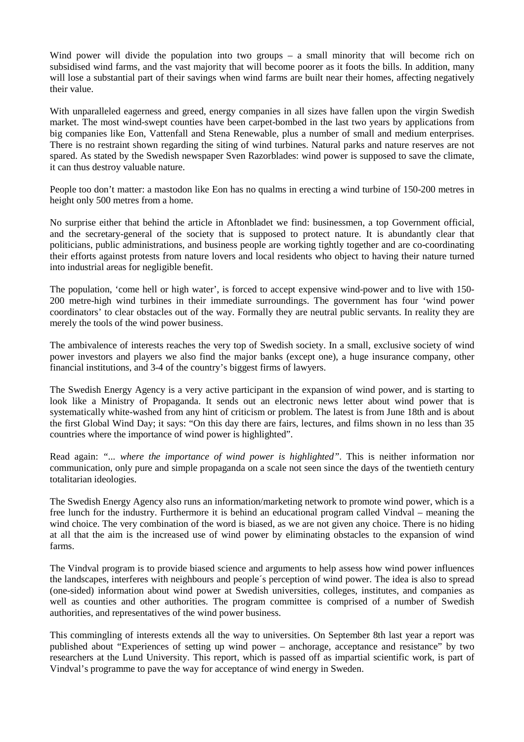Wind power will divide the population into two groups – a small minority that will become rich on subsidised wind farms, and the vast majority that will become poorer as it foots the bills. In addition, many will lose a substantial part of their savings when wind farms are built near their homes, affecting negatively their value.

With unparalleled eagerness and greed, energy companies in all sizes have fallen upon the virgin Swedish market. The most wind-swept counties have been carpet-bombed in the last two years by applications from big companies like Eon, Vattenfall and Stena Renewable, plus a number of small and medium enterprises. There is no restraint shown regarding the siting of wind turbines. Natural parks and nature reserves are not spared. As stated by the Swedish newspaper Sven Razorblades: wind power is supposed to save the climate, it can thus destroy valuable nature.

People too don't matter: a mastodon like Eon has no qualms in erecting a wind turbine of 150-200 metres in height only 500 metres from a home.

No surprise either that behind the article in Aftonbladet we find: businessmen, a top Government official, and the secretary-general of the society that is supposed to protect nature. It is abundantly clear that politicians, public administrations, and business people are working tightly together and are co-coordinating their efforts against protests from nature lovers and local residents who object to having their nature turned into industrial areas for negligible benefit.

The population, 'come hell or high water', is forced to accept expensive wind-power and to live with 150- 200 metre-high wind turbines in their immediate surroundings. The government has four 'wind power coordinators' to clear obstacles out of the way. Formally they are neutral public servants. In reality they are merely the tools of the wind power business.

The ambivalence of interests reaches the very top of Swedish society. In a small, exclusive society of wind power investors and players we also find the major banks (except one), a huge insurance company, other financial institutions, and 3-4 of the country's biggest firms of lawyers.

The Swedish Energy Agency is a very active participant in the expansion of wind power, and is starting to look like a Ministry of Propaganda. It sends out an electronic news letter about wind power that is systematically white-washed from any hint of criticism or problem. The latest is from June 18th and is about the first Global Wind Day; it says: "On this day there are fairs, lectures, and films shown in no less than 35 countries where the importance of wind power is highlighted".

Read again: *"... where the importance of wind power is highlighted"*. This is neither information nor communication, only pure and simple propaganda on a scale not seen since the days of the twentieth century totalitarian ideologies.

The Swedish Energy Agency also runs an information/marketing network to promote wind power, which is a free lunch for the industry. Furthermore it is behind an educational program called Vindval – meaning the wind choice. The very combination of the word is biased, as we are not given any choice. There is no hiding at all that the aim is the increased use of wind power by eliminating obstacles to the expansion of wind farms.

The Vindval program is to provide biased science and arguments to help assess how wind power influences the landscapes, interferes with neighbours and people´s perception of wind power. The idea is also to spread (one-sided) information about wind power at Swedish universities, colleges, institutes, and companies as well as counties and other authorities. The program committee is comprised of a number of Swedish authorities, and representatives of the wind power business.

This commingling of interests extends all the way to universities. On September 8th last year a report was published about "Experiences of setting up wind power – anchorage, acceptance and resistance" by two researchers at the Lund University. This report, which is passed off as impartial scientific work, is part of Vindval's programme to pave the way for acceptance of wind energy in Sweden.